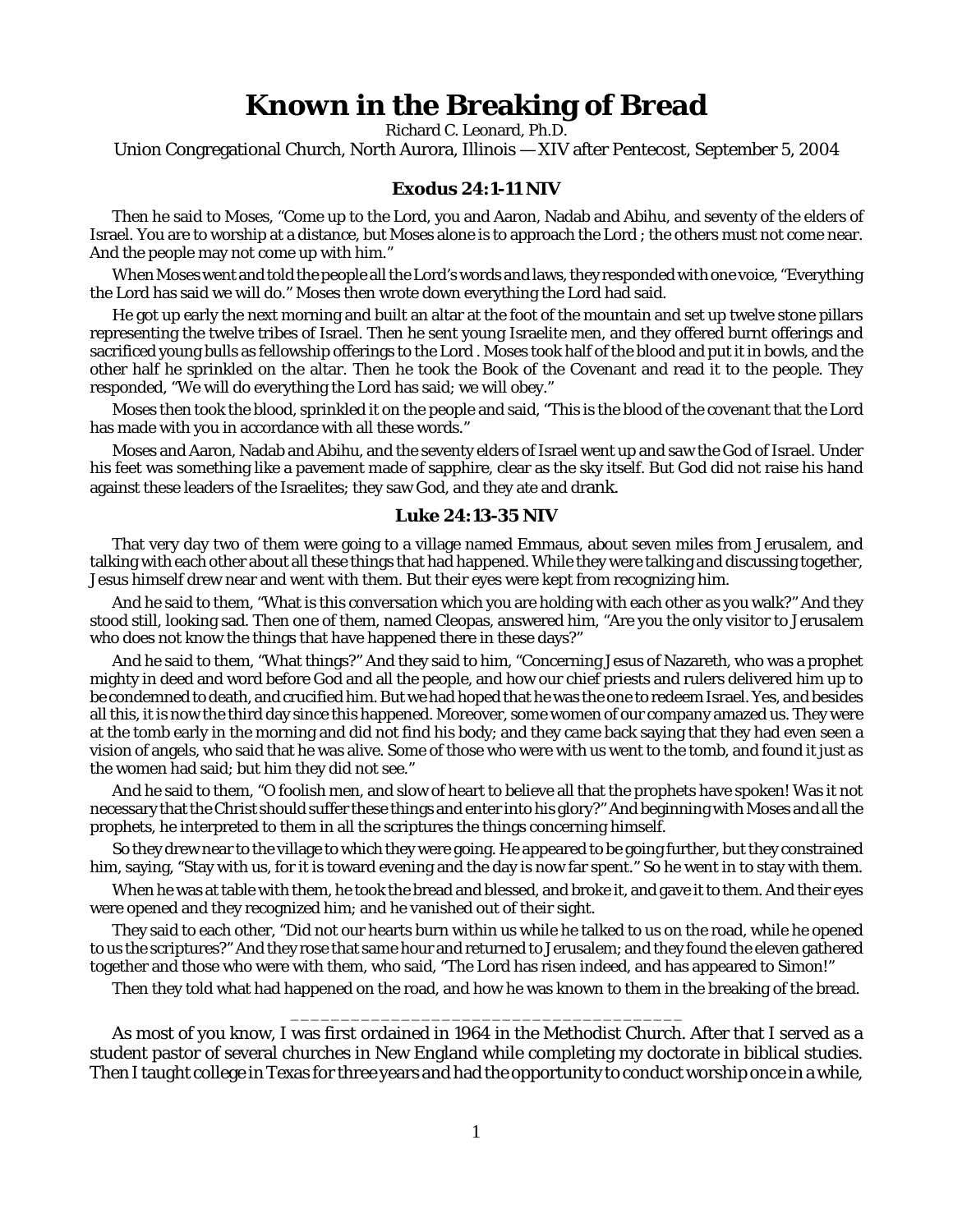## **Known in the Breaking of Bread**

Richard C. Leonard, Ph.D.

Union Congregational Church, North Aurora, Illinois — XIV after Pentecost, September 5, 2004

## **Exodus 24:1-11 NIV**

Then he said to Moses, "Come up to the Lord, you and Aaron, Nadab and Abihu, and seventy of the elders of Israel. You are to worship at a distance, but Moses alone is to approach the Lord ; the others must not come near. And the people may not come up with him."

When Moses went and told the people all the Lord's words and laws, they responded with one voice, "Everything the Lord has said we will do." Moses then wrote down everything the Lord had said.

He got up early the next morning and built an altar at the foot of the mountain and set up twelve stone pillars representing the twelve tribes of Israel. Then he sent young Israelite men, and they offered burnt offerings and sacrificed young bulls as fellowship offerings to the Lord . Moses took half of the blood and put it in bowls, and the other half he sprinkled on the altar. Then he took the Book of the Covenant and read it to the people. They responded, "We will do everything the Lord has said; we will obey."

Moses then took the blood, sprinkled it on the people and said, "This is the blood of the covenant that the Lord has made with you in accordance with all these words."

Moses and Aaron, Nadab and Abihu, and the seventy elders of Israel went up and saw the God of Israel. Under his feet was something like a pavement made of sapphire, clear as the sky itself. But God did not raise his hand against these leaders of the Israelites; they saw God, and they ate and drank.

## **Luke 24:13-35 NIV**

That very day two of them were going to a village named Emmaus, about seven miles from Jerusalem, and talking with each other about all these things that had happened. While they were talking and discussing together, Jesus himself drew near and went with them. But their eyes were kept from recognizing him.

And he said to them, "What is this conversation which you are holding with each other as you walk?" And they stood still, looking sad. Then one of them, named Cleopas, answered him, "Are you the only visitor to Jerusalem who does not know the things that have happened there in these days?"

And he said to them, "What things?" And they said to him, "Concerning Jesus of Nazareth, who was a prophet mighty in deed and word before God and all the people, and how our chief priests and rulers delivered him up to be condemned to death, and crucified him. But we had hoped that he was the one to redeem Israel. Yes, and besides all this, it is now the third day since this happened. Moreover, some women of our company amazed us. They were at the tomb early in the morning and did not find his body; and they came back saying that they had even seen a vision of angels, who said that he was alive. Some of those who were with us went to the tomb, and found it just as the women had said; but him they did not see."

And he said to them, "O foolish men, and slow of heart to believe all that the prophets have spoken! Was it not necessary that the Christ should suffer these things and enter into his glory?" And beginning with Moses and all the prophets, he interpreted to them in all the scriptures the things concerning himself.

So they drew near to the village to which they were going. He appeared to be going further, but they constrained him, saying, "Stay with us, for it is toward evening and the day is now far spent." So he went in to stay with them.

When he was at table with them, he took the bread and blessed, and broke it, and gave it to them. And their eyes were opened and they recognized him; and he vanished out of their sight.

They said to each other, "Did not our hearts burn within us while he talked to us on the road, while he opened to us the scriptures?" And they rose that same hour and returned to Jerusalem; and they found the eleven gathered together and those who were with them, who said, "The Lord has risen indeed, and has appeared to Simon!"

Then they told what had happened on the road, and how he was known to them in the breaking of the bread. \_\_\_\_\_\_\_\_\_\_\_\_\_\_\_\_\_\_\_\_\_\_\_\_\_\_\_\_\_\_\_\_\_\_\_\_\_\_\_

As most of you know, I was first ordained in 1964 in the Methodist Church. After that I served as a student pastor of several churches in New England while completing my doctorate in biblical studies. Then I taught college in Texas for three years and had the opportunity to conduct worship once in a while,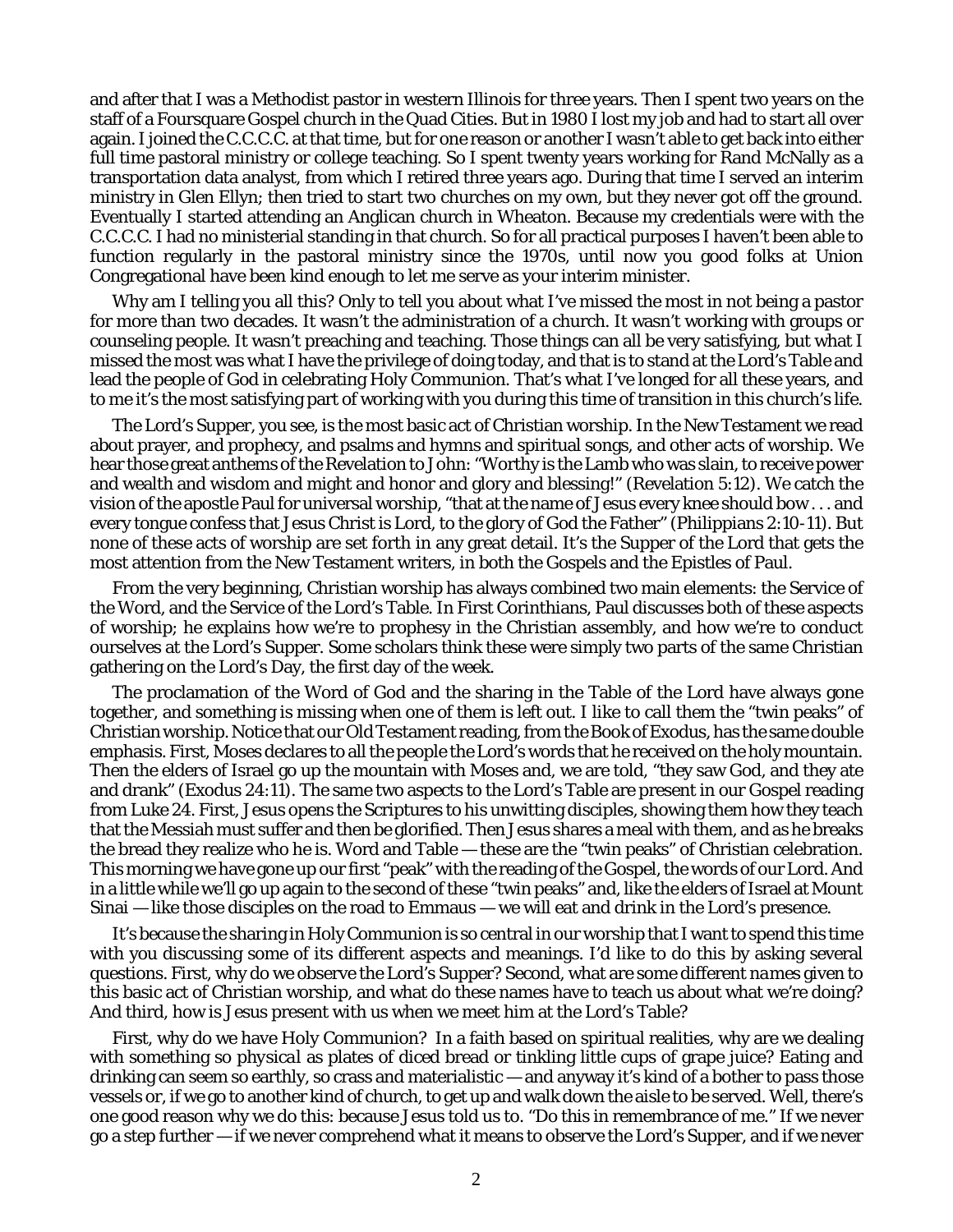and after that I was a Methodist pastor in western Illinois for three years. Then I spent two years on the staff of a Foursquare Gospel church in the Quad Cities. But in 1980 I lost my job and had to start all over again. I joined the C.C.C.C. at that time, but for one reason or another I wasn't able to get back into either full time pastoral ministry or college teaching. So I spent twenty years working for Rand McNally as a transportation data analyst, from which I retired three years ago. During that time I served an interim ministry in Glen Ellyn; then tried to start two churches on my own, but they never got off the ground. Eventually I started attending an Anglican church in Wheaton. Because my credentials were with the C.C.C.C. I had no ministerial standing in that church. So for all practical purposes I haven't been able to function regularly in the pastoral ministry since the 1970s, until now you good folks at Union Congregational have been kind enough to let me serve as your interim minister.

Why am I telling you all this? Only to tell you about what I've missed the most in not being a pastor for more than two decades. It wasn't the administration of a church. It wasn't working with groups or counseling people. It wasn't preaching and teaching. Those things can all be very satisfying, but what I missed the most was what I have the privilege of doing today, and that is to stand at the Lord's Table and lead the people of God in celebrating Holy Communion. That's what I've longed for all these years, and to me it's the most satisfying part of working with you during this time of transition in this church's life.

The Lord's Supper, you see, is the most basic act of Christian worship. In the New Testament we read about prayer, and prophecy, and psalms and hymns and spiritual songs, and other acts of worship. We hear those great anthems of the Revelation to John: "Worthy is the Lamb who was slain, to receive power and wealth and wisdom and might and honor and glory and blessing!" (Revelation 5:12). We catch the vision of the apostle Paul for universal worship, "that at the name of Jesus every knee should bow . . . and every tongue confess that Jesus Christ is Lord, to the glory of God the Father" (Philippians 2:10-11). But none of these acts of worship are set forth in any great detail. It's the Supper of the Lord that gets the most attention from the New Testament writers, in both the Gospels and the Epistles of Paul.

From the very beginning, Christian worship has always combined two main elements: the Service of the Word, and the Service of the Lord's Table. In First Corinthians, Paul discusses both of these aspects of worship; he explains how we're to prophesy in the Christian assembly, and how we're to conduct ourselves at the Lord's Supper. Some scholars think these were simply two parts of the same Christian gathering on the Lord's Day, the first day of the week.

The proclamation of the Word of God and the sharing in the Table of the Lord have always gone together, and something is missing when one of them is left out. I like to call them the "twin peaks" of Christian worship. Notice that our Old Testament reading, from the Book of Exodus, has the same double emphasis. First, Moses declares to all the people the Lord's words that he received on the holy mountain. Then the elders of Israel go up the mountain with Moses and, we are told, "they saw God, and they ate and drank" (Exodus 24:11). The same two aspects to the Lord's Table are present in our Gospel reading from Luke 24. First, Jesus opens the Scriptures to his unwitting disciples, showing them how they teach that the Messiah must suffer and then be glorified. Then Jesus shares a meal with them, and as he breaks the bread they realize who he is. Word and Table — these are the "twin peaks" of Christian celebration. This morning we have gone up our first "peak" with the reading of the Gospel, the words of our Lord. And in a little while we'll go up again to the second of these "twin peaks" and, like the elders of Israel at Mount Sinai — like those disciples on the road to Emmaus — we will eat and drink in the Lord's presence.

It's because the sharing in Holy Communion is so central in our worship that I want to spend this time with you discussing some of its different aspects and meanings. I'd like to do this by asking several questions. First, why do we observe the Lord's Supper? Second, what are some different *names* given to this basic act of Christian worship, and what do these names have to teach us about what we're doing? And third, how is Jesus present with us when we meet him at the Lord's Table?

First, why do we have Holy Communion? In a faith based on spiritual realities, why are we dealing with something so *physical* as plates of diced bread or tinkling little cups of grape juice? Eating and drinking can seem so earthly, so crass and materialistic — and anyway it's kind of a bother to pass those vessels or, if we go to another kind of church, to get up and walk down the aisle to be served. Well, there's one good reason why we do this: because Jesus told us to. "*Do this* in remembrance of me." If we never go a step further — if we never comprehend what it means to observe the Lord's Supper, and if we never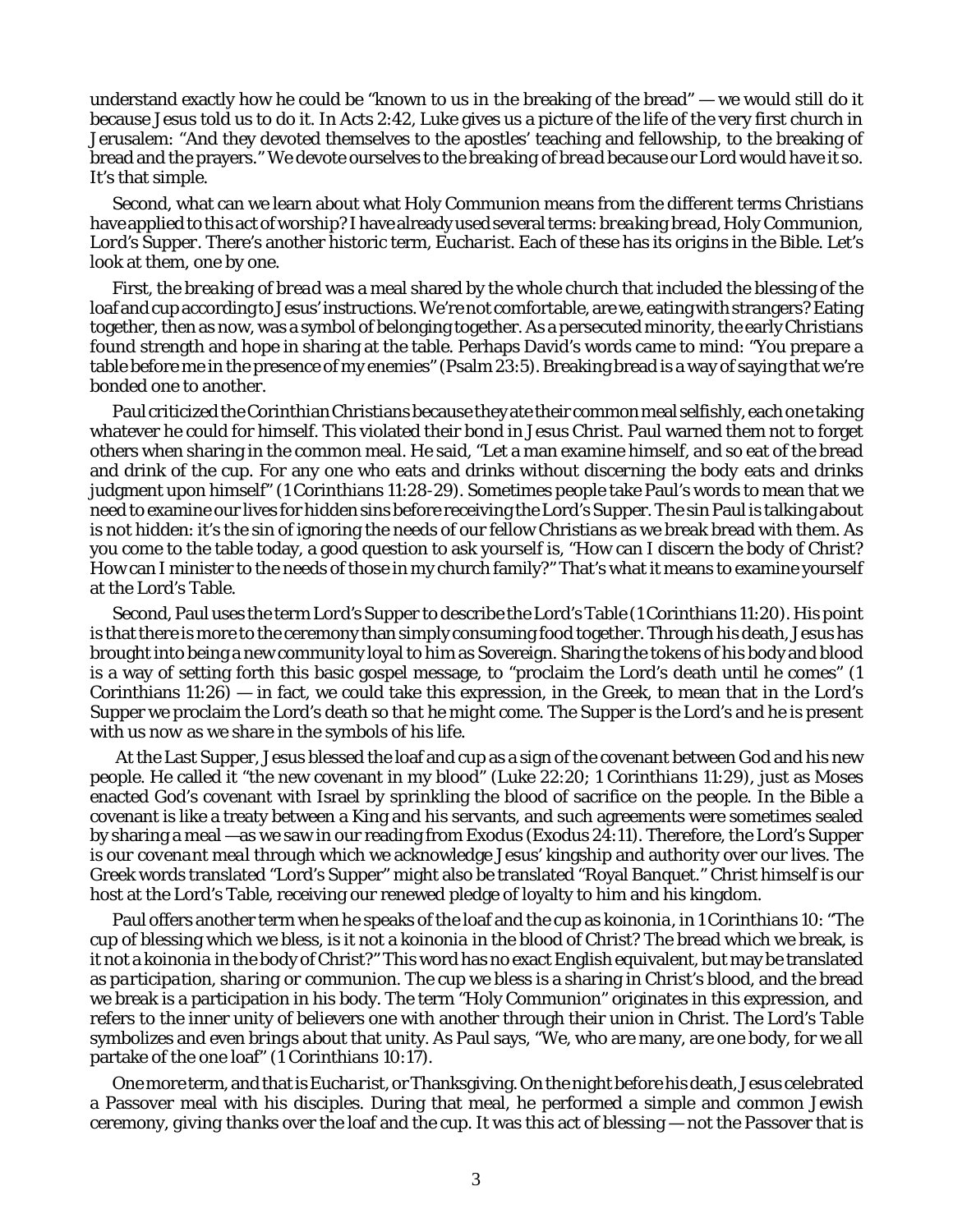understand exactly how he could be "known to us in the breaking of the bread" — we would still *do it* because Jesus told us to do it. In Acts 2:42, Luke gives us a picture of the life of the very first church in Jerusalem: "And they devoted themselves to the apostles' teaching and fellowship, to the breaking of bread and the prayers." We devote ourselves to *the breaking of bread* because our Lord would have it so. It's that simple.

Second, what can we learn about what Holy Communion means from the different terms Christians have applied to this act of worship? I have already used several terms: *breaking bread, Holy Communion, Lord's Supper.* There's another historic term, *Eucharist.* Each of these has its origins in the Bible. Let's look at them, one by one.

First, the *breaking of bread* was a meal shared by the whole church that included the blessing of the loaf and cup according to Jesus' instructions. We're not comfortable, are we, eating with strangers? Eating together, then as now, was a symbol of belonging together. As a persecuted minority, the early Christians found strength and hope in sharing at the table. Perhaps David's words came to mind: "You prepare a table before me in the presence of my enemies" (Psalm 23:5). Breaking bread is a way of saying that we're bonded one to another.

Paul criticized the Corinthian Christians because they ate their common meal selfishly, each one taking whatever he could for himself. This violated their bond in Jesus Christ. Paul warned them not to forget others when sharing in the common meal. He said, "Let a man examine himself, and so eat of the bread and drink of the cup. For any one who eats and drinks without *discerning the body* eats and drinks judgment upon himself" (1 Corinthians 11:28-29). Sometimes people take Paul's words to mean that we need to examine our lives for hidden sins before receiving the Lord's Supper. The sin Paul is talking about is not hidden: it's the sin of ignoring the needs of our fellow Christians as we break bread with them. As you come to the table today, a good question to ask yourself is, "How can I *discern the body* of Christ? How can I minister to the needs of those in my church family?" That's what it means to examine yourself at the Lord's Table.

Second, Paul uses the term *Lord's Supper* to describe the Lord's Table (1 Corinthians 11:20). His point is that there is more to the ceremony than simply consuming food together. Through his death, Jesus has brought into being a new community loyal to him as Sovereign. Sharing the tokens of his body and blood is a way of setting forth this basic gospel message, to "proclaim the Lord's death until he comes" (1 Corinthians  $11:26$  – in fact, we could take this expression, in the Greek, to mean that in the Lord's Supper we proclaim the Lord's death *so that he might come*. The Supper is the Lord's and he is present with us *now* as we share in the symbols of his life.

 At the Last Supper, Jesus blessed the loaf and cup as a sign of the covenant between God and his new people. He called it "the new covenant in my blood" (Luke 22:20; 1 Corinthians 11:29), just as Moses enacted God's covenant with Israel by sprinkling the blood of sacrifice on the people. In the Bible a covenant is like a treaty between a King and his servants, and such agreements were sometimes sealed by sharing a meal —as we saw in our reading from Exodus (Exodus 24:11). Therefore, the Lord's Supper is *our covenant meal* through which we acknowledge Jesus' kingship and authority over our lives. The Greek words translated "Lord's Supper" might also be translated "Royal Banquet." Christ himself is our host at the Lord's Table, receiving our renewed pledge of loyalty to him and his kingdom.

Paul offers another term when he speaks of the loaf and the cup as *koinonia*, in 1 Corinthians 10: "The cup of blessing which we bless, is it not a *koinonia* in the blood of Christ? The bread which we break, is it not a *koinonia* in the body of Christ?" This word has no exact English equivalent, but may be translated as *participation, sharing or communion.* The cup we bless is a sharing in Christ's blood, and the bread we break is a participation in his body. The term "Holy Communion" originates in this expression, and refers to the inner unity of believers one with another through their union in Christ. The Lord's Table symbolizes and even *brings about* that unity. As Paul says, "We, who are many, are one body, for we all partake of the one loaf" (1 Corinthians 10:17).

One more term, and that is *Eucharist*, or Thanksgiving. On the night before his death, Jesus celebrated a Passover meal with his disciples. During that meal, he performed a simple and common Jewish ceremony, *giving thanks* over the loaf and the cup. It was this act of blessing — not the Passover that is